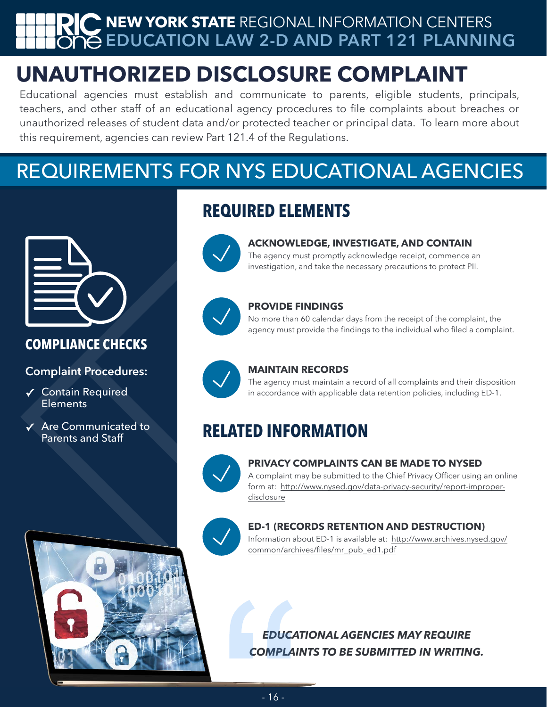## **NEW YORK STATE** REGIONAL INFORMATION CENTERS **EDUCATION LAW 2-D AND PART 121 PLANNING**

# **UNAUTHORIZED DISCLOSURE COMPLAINT**

Educational agencies must establish and communicate to parents, eligible students, principals, teachers, and other staff of an educational agency procedures to file complaints about breaches or unauthorized releases of student data and/or protected teacher or principal data. To learn more about this requirement, agencies can review Part 121.4 of the Regulations.

# REQUIREMENTS FOR NYS EDUCATIONAL AGENCIES



### **COMPLIANCE CHECKS**

**Complaint Procedures:** 

- **✓** Contain Required **Elements**
- **✓** Are Communicated to Parents and Staff





### **ACKNOWLEDGE, INVESTIGATE, AND CONTAIN**

The agency must promptly acknowledge receipt, commence an investigation, and take the necessary precautions to protect PII.



### **PROVIDE FINDINGS**

No more than 60 calendar days from the receipt of the complaint, the agency must provide the findings to the individual who filed a complaint.



### **MAINTAIN RECORDS**

The agency must maintain a record of all complaints and their disposition in accordance with applicable data retention policies, including ED-1.

## **RELATED INFORMATION**



### **PRIVACY COMPLAINTS CAN BE MADE TO NYSED**

A complaint may be submitted to the Chief Privacy Officer using an online [form at: http://www.nysed.gov/data-privacy-security/report-improper](http://www.nysed.gov/data-privacy-security/report-improper-disclosure)[disclosure](http://www.nysed.gov/data-privacy-security/report-improper-disclosure)



### **ED-1 (RECORDS RETENTION AND DESTRUCTION)**

[Information about ED-1 is available at: http://www.archives.nysed.gov/](http://www.archives.nysed.gov/common/archives/files/mr_pub_ed1.pdf) [common/archives/files/mr\\_pub\\_ed1.pdf](http://www.archives.nysed.gov/common/archives/files/mr_pub_ed1.pdf)

*EDUCATIONAL AGENCIES MAY REQUIRE COMPLAINTS TO BE SUBMITTED IN WRITING.*